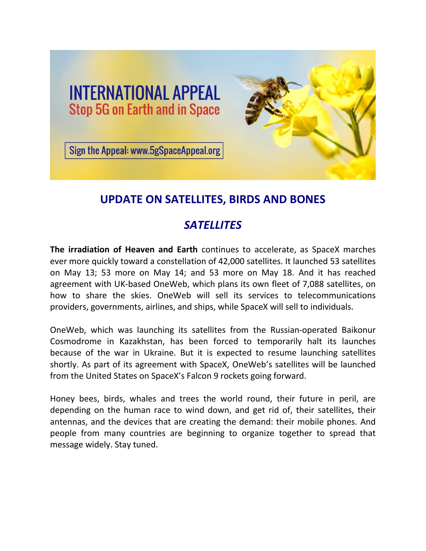

# **UPDATE ON SATELLITES, BIRDS AND BONES**

# *SATELLITES*

**The irradiation of Heaven and Earth** continues to accelerate, as SpaceX marches ever more quickly toward a constellation of 42,000 satellites. It launched 53 satellites on May 13; 53 more on May 14; and 53 more on May 18. And it has reached agreement with UK-based OneWeb, which plans its own fleet of 7,088 satellites, on how to share the skies. OneWeb will sell its services to telecommunications providers, governments, airlines, and ships, while SpaceX will sell to individuals.

OneWeb, which was launching its satellites from the Russian-operated Baikonur Cosmodrome in Kazakhstan, has been forced to temporarily halt its launches because of the war in Ukraine. But it is expected to resume launching satellites shortly. As part of its agreement with SpaceX, OneWeb's satellites will be launched from the United States on SpaceX's Falcon 9 rockets going forward.

Honey bees, birds, whales and trees the world round, their future in peril, are depending on the human race to wind down, and get rid of, their satellites, their antennas, and the devices that are creating the demand: their mobile phones. And people from many countries are beginning to organize together to spread that message widely. Stay tuned.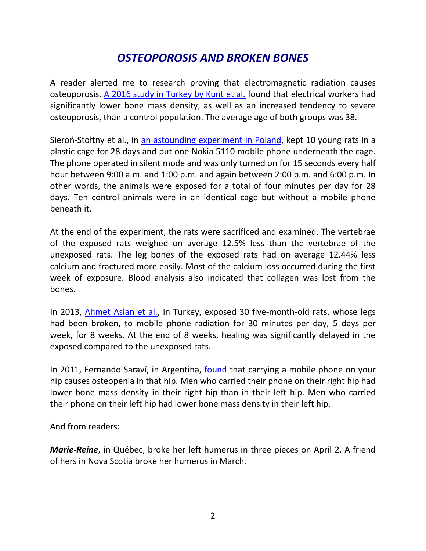# *OSTEOPOROSIS AND BROKEN BONES*

A reader alerted me to research proving that electromagnetic radiation causes osteoporosis. [A 2016 study in Turkey by Kunt et al.](https://www.ncbi.nlm.nih.gov/pmc/articles/PMC4758783/pdf/ott-9-745.pdf) found that electrical workers had significantly lower bone mass density, as well as an increased tendency to severe osteoporosis, than a control population. The average age of both groups was 38.

Sieroń-Stołtny et al., in [an astounding experiment in Poland,](https://downloads.hindawi.com/journals/bmri/2015/896019.pdf) kept 10 young rats in a plastic cage for 28 days and put one Nokia 5110 mobile phone underneath the cage. The phone operated in silent mode and was only turned on for 15 seconds every half hour between 9:00 a.m. and 1:00 p.m. and again between 2:00 p.m. and 6:00 p.m. In other words, the animals were exposed for a total of four minutes per day for 28 days. Ten control animals were in an identical cage but without a mobile phone beneath it.

At the end of the experiment, the rats were sacrificed and examined. The vertebrae of the exposed rats weighed on average 12.5% less than the vertebrae of the unexposed rats. The leg bones of the exposed rats had on average 12.44% less calcium and fractured more easily. Most of the calcium loss occurred during the first week of exposure. Blood analysis also indicated that collagen was lost from the bones.

In 2013, [Ahmet Aslan et al.,](https://dergipark.org.tr/en/download/article-file/169646) in Turkey, exposed 30 five-month-old rats, whose legs had been broken, to mobile phone radiation for 30 minutes per day, 5 days per week, for 8 weeks. At the end of 8 weeks, healing was significantly delayed in the exposed compared to the unexposed rats.

In 2011, Fernando Saraví, in Argentina, [found](https://www.researchgate.net/publication/50420403_Asymmetries_in_Hip_Mineralization_in_Mobile_Cellular_Phone_Users) that carrying a mobile phone on your hip causes osteopenia in that hip. Men who carried their phone on their right hip had lower bone mass density in their right hip than in their left hip. Men who carried their phone on their left hip had lower bone mass density in their left hip.

And from readers:

*Marie-Reine*, in Québec, broke her left humerus in three pieces on April 2. A friend of hers in Nova Scotia broke her humerus in March.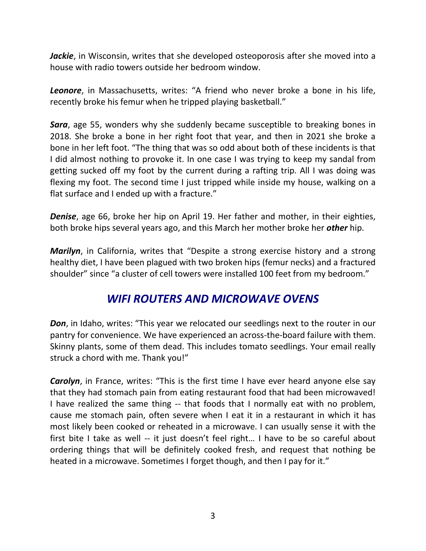*Jackie*, in Wisconsin, writes that she developed osteoporosis after she moved into a house with radio towers outside her bedroom window.

*Leonore*, in Massachusetts, writes: "A friend who never broke a bone in his life, recently broke his femur when he tripped playing basketball."

*Sara*, age 55, wonders why she suddenly became susceptible to breaking bones in 2018. She broke a bone in her right foot that year, and then in 2021 she broke a bone in her left foot. "The thing that was so odd about both of these incidents is that I did almost nothing to provoke it. In one case I was trying to keep my sandal from getting sucked off my foot by the current during a rafting trip. All I was doing was flexing my foot. The second time I just tripped while inside my house, walking on a flat surface and I ended up with a fracture."

*Denise*, age 66, broke her hip on April 19. Her father and mother, in their eighties, both broke hips several years ago, and this March her mother broke her *other* hip.

*Marilyn*, in California, writes that "Despite a strong exercise history and a strong healthy diet, I have been plagued with two broken hips (femur necks) and a fractured shoulder" since "a cluster of cell towers were installed 100 feet from my bedroom."

### *WIFI ROUTERS AND MICROWAVE OVENS*

**Don**, in Idaho, writes: "This year we relocated our seedlings next to the router in our pantry for convenience. We have experienced an across-the-board failure with them. Skinny plants, some of them dead. This includes tomato seedlings. Your email really struck a chord with me. Thank you!"

*Carolyn*, in France, writes: "This is the first time I have ever heard anyone else say that they had stomach pain from eating restaurant food that had been microwaved! I have realized the same thing -- that foods that I normally eat with no problem, cause me stomach pain, often severe when I eat it in a restaurant in which it has most likely been cooked or reheated in a microwave. I can usually sense it with the first bite I take as well -- it just doesn't feel right… I have to be so careful about ordering things that will be definitely cooked fresh, and request that nothing be heated in a microwave. Sometimes I forget though, and then I pay for it."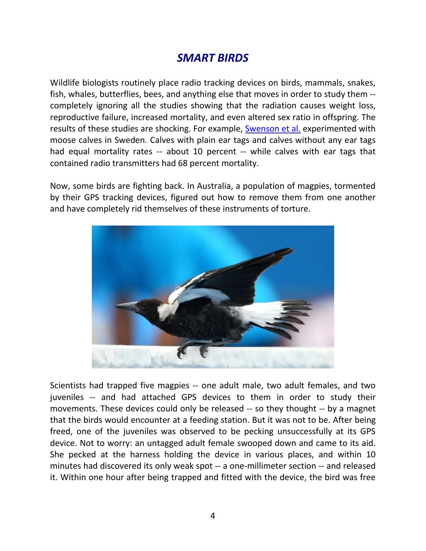### *SMART BIRDS*

Wildlife biologists routinely place radio tracking devices on birds, mammals, snakes, fish, whales, butterflies, bees, and anything else that moves in order to study them - completely ignoring all the studies showing that the radiation causes weight loss, reproductive failure, increased mortality, and even altered sex ratio in offspring. The results of these studies are shocking. For example, [Swenson et al.](https://bearproject.info/old/uploads/publications/A20%201999%20Effects%20of%20ear%20tagging_moose%20.pdf) experimented with moose calves in Sweden. Calves with plain ear tags and calves without any ear tags had equal mortality rates -- about 10 percent -- while calves with ear tags that contained radio transmitters had 68 percent mortality.

Now, some birds are fighting back. In Australia, a population of magpies, tormented by their GPS tracking devices, figured out how to remove them from one another and have completely rid themselves of these instruments of torture.



Scientists had trapped five magpies -- one adult male, two adult females, and two juveniles -- and had attached GPS devices to them in order to study their movements. These devices could only be released -- so they thought -- by a magnet that the birds would encounter at a feeding station. But it was not to be. After being freed, one of the juveniles was observed to be pecking unsuccessfully at its GPS device. Not to worry: an untagged adult female swooped down and came to its aid. She pecked at the harness holding the device in various places, and within 10 minutes had discovered its only weak spot -- a one-millimeter section -- and released it. Within one hour after being trapped and fitted with the device, the bird was free